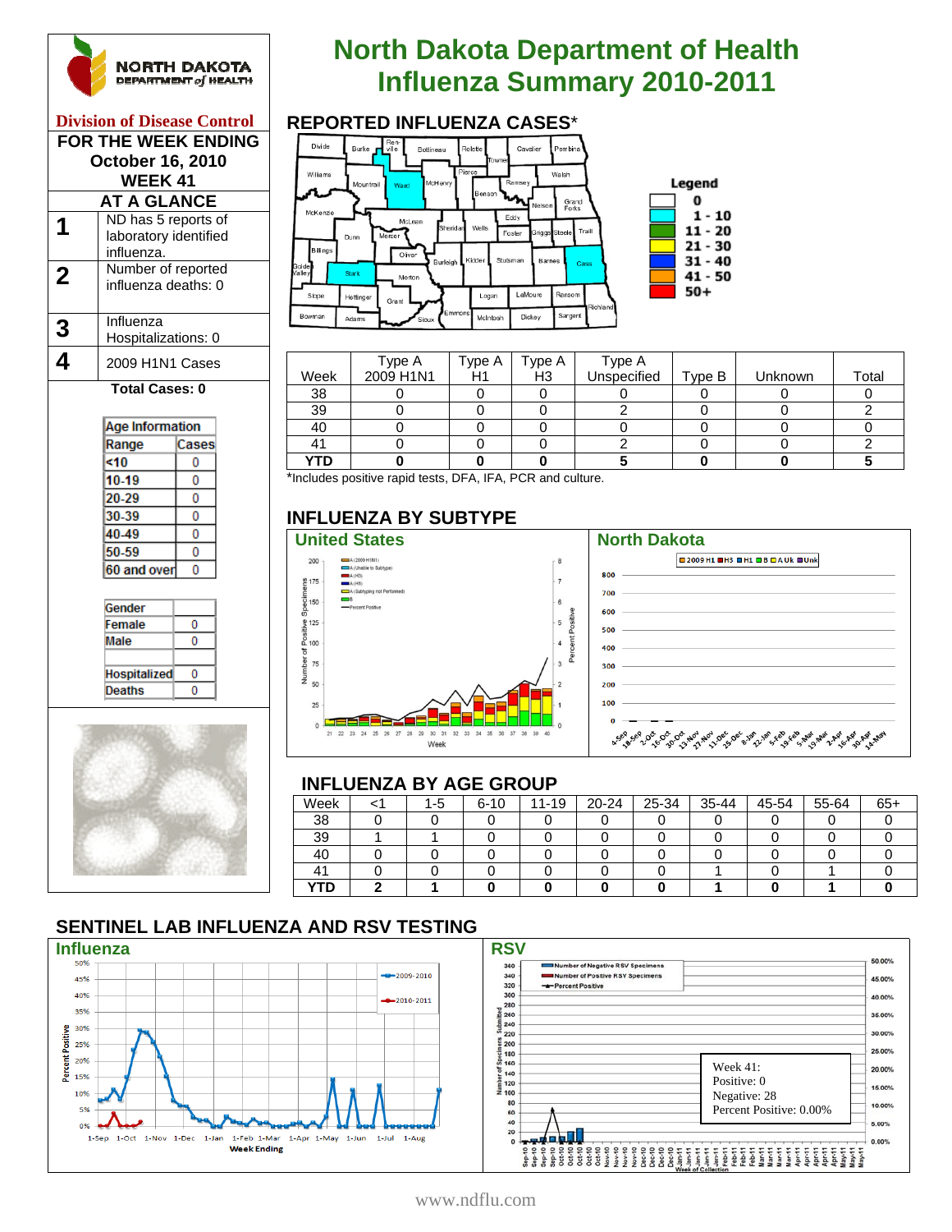

#### **Division of Disease Control FOR THE WEEK ENDING October 16, 2010 WEEK 41 AT A GLANCE**

|   | ND has 5 reports of   |
|---|-----------------------|
|   | laboratory identified |
|   | influenza.            |
| 2 | Number of reported    |
|   | influenza deaths: 0   |
|   |                       |
| 3 | Influenza             |
|   | Hospitalizations: 0   |
|   | 2009 H1N1 Cases       |
|   |                       |

#### **Total Cases: 0**

| Age Information |       |  |  |  |  |
|-----------------|-------|--|--|--|--|
| Range           | Cases |  |  |  |  |
| <10             | Ω     |  |  |  |  |
| 10-19           | O     |  |  |  |  |
| 20-29           | Ω     |  |  |  |  |
| 30-39           | n     |  |  |  |  |
| 40-49           | Ω     |  |  |  |  |
| 50-59           | O     |  |  |  |  |
| 60 and over     | Π     |  |  |  |  |
|                 |       |  |  |  |  |



# **North Dakota Department of Health INGRTH DAKOTA**<br>
Influenza Summary 2010-2011<br>
Influenza Cases<sup>\*</sup>



|      | Type A    | Type A | Type A         | Type A<br>Unspecified |        |         |       |
|------|-----------|--------|----------------|-----------------------|--------|---------|-------|
| Week | 2009 H1N1 | H1     | H <sub>3</sub> |                       | Type B | Unknown | Total |
| 38   |           |        |                |                       |        |         |       |
| 39   |           |        |                |                       |        |         |       |
| 40   |           |        |                |                       |        |         |       |
|      |           |        |                |                       |        |         |       |
| YTD  |           |        |                |                       |        |         |       |

\*Includes positive rapid tests, DFA, IFA, PCR and culture.

# **INFLUENZA BY SUBTYPE**



| <b>■2009H1 ■H3 ■H1 ■B ■AUk ■Unk</b>                                                                                                                                                                                         |
|-----------------------------------------------------------------------------------------------------------------------------------------------------------------------------------------------------------------------------|
|                                                                                                                                                                                                                             |
|                                                                                                                                                                                                                             |
|                                                                                                                                                                                                                             |
| $500 - 500$                                                                                                                                                                                                                 |
| 400                                                                                                                                                                                                                         |
| $300 -$                                                                                                                                                                                                                     |
|                                                                                                                                                                                                                             |
| $100$ and $100$ and $100$ and $100$ and $100$ and $100$ and $100$ and $100$ and $100$ and $100$ and $100$ and $100$ and $100$ and $100$ and $100$ and $100$ and $100$ and $100$ and $100$ and $100$ and $100$ and $100$ and |
|                                                                                                                                                                                                                             |

#### **INFLUENZA BY AGE GROUP**

| Week       | 1-5 | $6 - 10$ | $11 - 19$ | 20-24 | 25-34 | 35-44 | 45-54 | 55-64 | $65 -$ |
|------------|-----|----------|-----------|-------|-------|-------|-------|-------|--------|
| 38         |     |          |           |       |       |       |       |       |        |
| 39         |     |          |           |       |       |       |       |       |        |
| 40         |     |          |           |       |       |       |       |       |        |
| 41         |     |          |           |       |       |       |       |       |        |
| <b>YTD</b> |     |          |           |       |       |       |       |       |        |

# **SENTINEL LAB INFLUENZA AND RSV TESTING**





www.ndflu.com